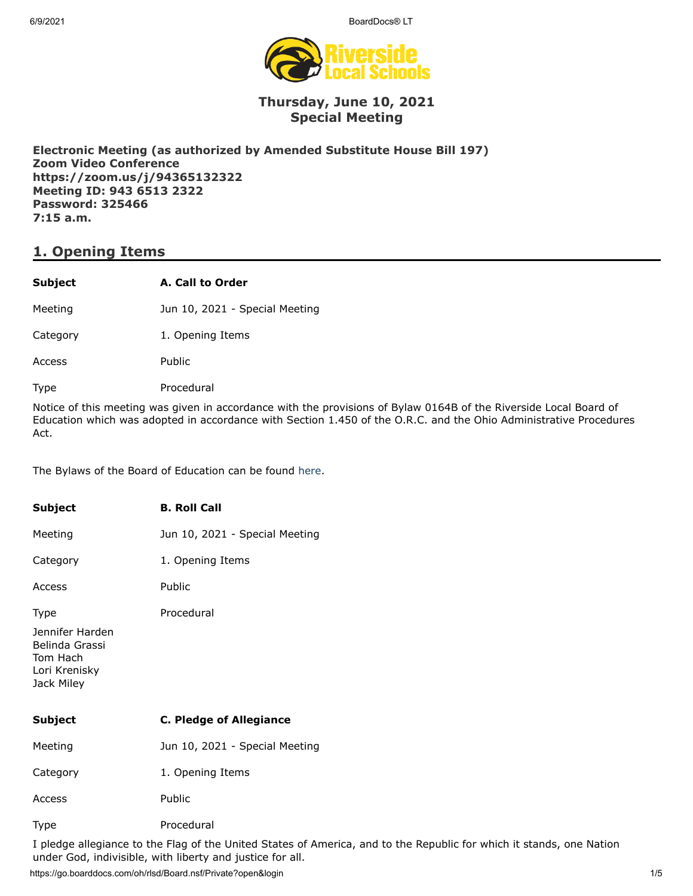6/9/2021 BoardDocs® LT



### **Thursday, June 10, 2021 Special Meeting**

**Electronic Meeting (as authorized by Amended Substitute House Bill 197) Zoom Video Conference https://zoom.us/j/94365132322 Meeting ID: 943 6513 2322 Password: 325466 7:15 a.m.**

# **1. Opening Items**

### **Subject A. Call to Order**

Meeting **Jun 10, 2021 - Special Meeting** 

Category 1. Opening Items

Access Public

Type Procedural

Notice of this meeting was given in accordance with the provisions of Bylaw 0164B of the Riverside Local Board of Education which was adopted in accordance with Section 1.450 of the O.R.C. and the Ohio Administrative Procedures Act.

The Bylaws of the Board of Education can be found [here.](http://www.neola.com/riverside(lake)-oh/)

| <b>Subject</b>                                                                              | <b>B. Roll Call</b>            |
|---------------------------------------------------------------------------------------------|--------------------------------|
| Meeting                                                                                     | Jun 10, 2021 - Special Meeting |
| Category                                                                                    | 1. Opening Items               |
| Access                                                                                      | Public                         |
| <b>Type</b><br>Jennifer Harden<br>Belinda Grassi<br>Tom Hach<br>Lori Krenisky<br>Jack Miley | Procedural                     |
| <b>Subject</b>                                                                              | <b>C. Pledge of Allegiance</b> |
| Meeting                                                                                     | Jun 10, 2021 - Special Meeting |
| Category                                                                                    | 1. Opening Items               |
| Access                                                                                      | Public                         |
| Type                                                                                        | Procedural                     |

I pledge allegiance to the Flag of the United States of America, and to the Republic for which it stands, one Nation under God, indivisible, with liberty and justice for all.

https://go.boarddocs.com/oh/rlsd/Board.nsf/Private?open&login 1/5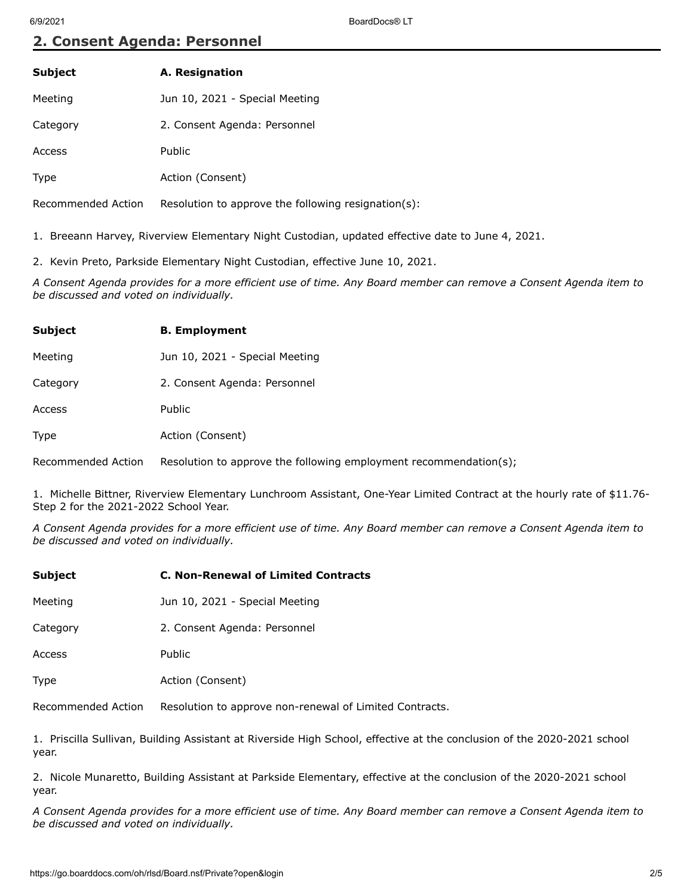## **2. Consent Agenda: Personnel**

| A. Resignation                 |  |  |
|--------------------------------|--|--|
| Jun 10, 2021 - Special Meeting |  |  |
| 2. Consent Agenda: Personnel   |  |  |
| Public                         |  |  |
|                                |  |  |

Type **Action** (Consent)

Recommended Action Resolution to approve the following resignation(s):

1. Breeann Harvey, Riverview Elementary Night Custodian, updated effective date to June 4, 2021.

2. Kevin Preto, Parkside Elementary Night Custodian, effective June 10, 2021.

*A Consent Agenda provides for a more efficient use of time. Any Board member can remove a Consent Agenda item to be discussed and voted on individually.*

| <b>Subject</b> | <b>B.</b> Employment           |
|----------------|--------------------------------|
| Meeting        | Jun 10, 2021 - Special Meeting |
| Category       | 2. Consent Agenda: Personnel   |
| Access         | Public                         |
| Type           | Action (Consent)               |
|                |                                |

Recommended Action Resolution to approve the following employment recommendation(s);

1. Michelle Bittner, Riverview Elementary Lunchroom Assistant, One-Year Limited Contract at the hourly rate of \$11.76- Step 2 for the 2021-2022 School Year.

*A Consent Agenda provides for a more efficient use of time. Any Board member can remove a Consent Agenda item to be discussed and voted on individually.*

| <b>Subject</b>     | <b>C. Non-Renewal of Limited Contracts</b>              |
|--------------------|---------------------------------------------------------|
| Meeting            | Jun 10, 2021 - Special Meeting                          |
| Category           | 2. Consent Agenda: Personnel                            |
| Access             | <b>Public</b>                                           |
| <b>Type</b>        | Action (Consent)                                        |
| Recommended Action | Resolution to approve non-renewal of Limited Contracts. |

1. Priscilla Sullivan, Building Assistant at Riverside High School, effective at the conclusion of the 2020-2021 school year.

2. Nicole Munaretto, Building Assistant at Parkside Elementary, effective at the conclusion of the 2020-2021 school year.

*A Consent Agenda provides for a more efficient use of time. Any Board member can remove a Consent Agenda item to be discussed and voted on individually.*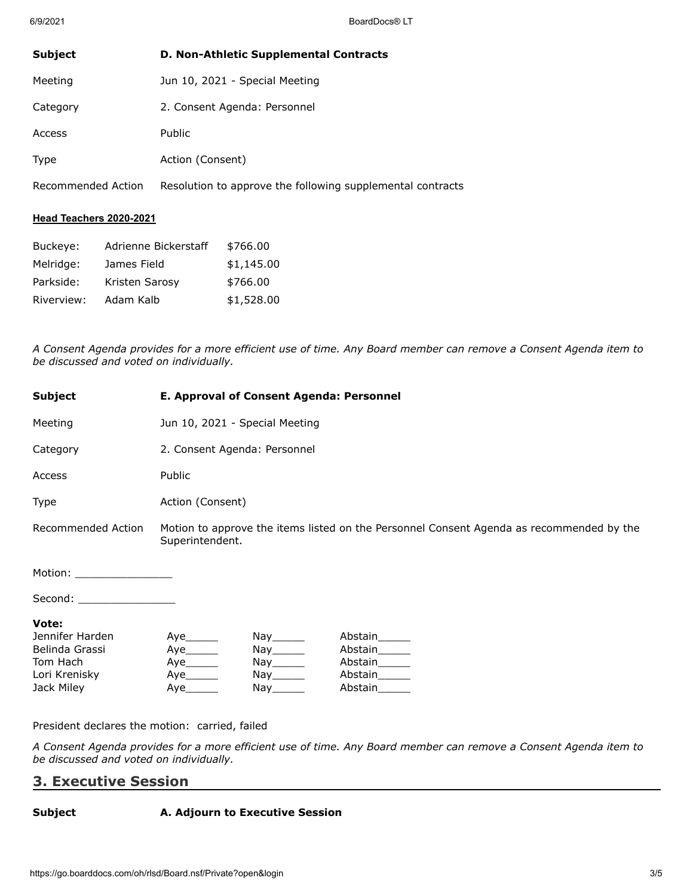| D. Non-Athletic Supplemental Contracts |
|----------------------------------------|
| Jun 10, 2021 - Special Meeting         |
| 2. Consent Agenda: Personnel           |
| <b>Public</b>                          |
| Action (Consent)                       |
|                                        |

Recommended Action Resolution to approve the following supplemental contracts

#### **Head Teachers 2020-2021**

| Buckeye:   | Adrienne Bickerstaff | \$766.00   |
|------------|----------------------|------------|
| Melridge:  | James Field          | \$1,145.00 |
| Parkside:  | Kristen Sarosy       | \$766.00   |
| Riverview: | Adam Kalb            | \$1,528.00 |

*A Consent Agenda provides for a more efficient use of time. Any Board member can remove a Consent Agenda item to be discussed and voted on individually.*

| E. Approval of Consent Agenda: Personnel                                                                    |  |                                                                                                                                                                                                                                                                          |  |
|-------------------------------------------------------------------------------------------------------------|--|--------------------------------------------------------------------------------------------------------------------------------------------------------------------------------------------------------------------------------------------------------------------------|--|
| Jun 10, 2021 - Special Meeting                                                                              |  |                                                                                                                                                                                                                                                                          |  |
| 2. Consent Agenda: Personnel                                                                                |  |                                                                                                                                                                                                                                                                          |  |
| Public                                                                                                      |  |                                                                                                                                                                                                                                                                          |  |
| Action (Consent)                                                                                            |  |                                                                                                                                                                                                                                                                          |  |
| Motion to approve the items listed on the Personnel Consent Agenda as recommended by the<br>Superintendent. |  |                                                                                                                                                                                                                                                                          |  |
| Motion: __________________                                                                                  |  |                                                                                                                                                                                                                                                                          |  |
| Second: ___________________                                                                                 |  |                                                                                                                                                                                                                                                                          |  |
| Aye<br>Aye<br>Aye_______<br>Aye                                                                             |  | Abstain<br>Abstain<br>Abstain<br>Abstain<br>Abstain                                                                                                                                                                                                                      |  |
|                                                                                                             |  | Nay the second the second term in the second term in the second term in the second term in the second term in the second term in the second term in the second term in the second term in the second term in the second term i<br>Nay_______<br>Nay_______<br>Nay_______ |  |

President declares the motion: carried, failed

*A Consent Agenda provides for a more efficient use of time. Any Board member can remove a Consent Agenda item to be discussed and voted on individually.*

## **3. Executive Session**

#### **Subject A. Adjourn to Executive Session**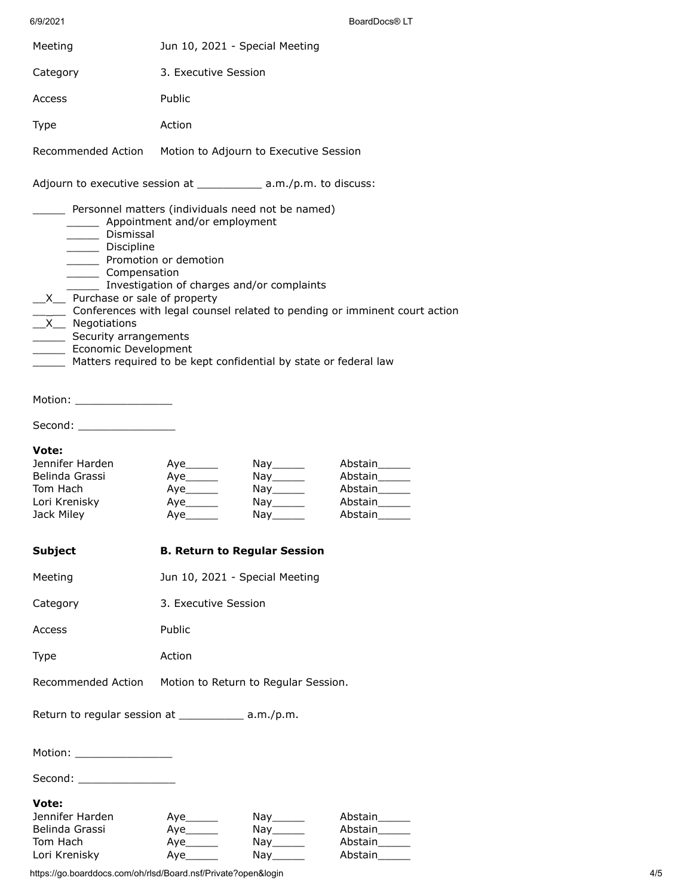| 6/9/2021                                                                                                                                                                                                                                                                                                                                                                                                                                                                                                                     |                                     |                                                                                       | BoardDocs <sup>®</sup> LT                                                   |  |
|------------------------------------------------------------------------------------------------------------------------------------------------------------------------------------------------------------------------------------------------------------------------------------------------------------------------------------------------------------------------------------------------------------------------------------------------------------------------------------------------------------------------------|-------------------------------------|---------------------------------------------------------------------------------------|-----------------------------------------------------------------------------|--|
| Meeting                                                                                                                                                                                                                                                                                                                                                                                                                                                                                                                      | Jun 10, 2021 - Special Meeting      |                                                                                       |                                                                             |  |
| Category                                                                                                                                                                                                                                                                                                                                                                                                                                                                                                                     | 3. Executive Session                |                                                                                       |                                                                             |  |
| Access                                                                                                                                                                                                                                                                                                                                                                                                                                                                                                                       | Public                              |                                                                                       |                                                                             |  |
| <b>Type</b>                                                                                                                                                                                                                                                                                                                                                                                                                                                                                                                  | Action                              |                                                                                       |                                                                             |  |
| Recommended Action  Motion to Adjourn to Executive Session                                                                                                                                                                                                                                                                                                                                                                                                                                                                   |                                     |                                                                                       |                                                                             |  |
| Adjourn to executive session at _____________ a.m./p.m. to discuss:                                                                                                                                                                                                                                                                                                                                                                                                                                                          |                                     |                                                                                       |                                                                             |  |
| Personnel matters (individuals need not be named)<br>________ Appointment and/or employment<br>_______ Dismissal<br>_______ Discipline<br>Promotion or demotion<br>_______ Compensation<br>Investigation of charges and/or complaints<br>X_ Purchase or sale of property<br>_____ Conferences with legal counsel related to pending or imminent court action<br>$\sqrt{X}$ Negotiations<br>_______ Security arrangements<br>_______ Economic Development<br>Matters required to be kept confidential by state or federal law |                                     |                                                                                       |                                                                             |  |
| Motion: __________________                                                                                                                                                                                                                                                                                                                                                                                                                                                                                                   |                                     |                                                                                       |                                                                             |  |
| Second: ___________________                                                                                                                                                                                                                                                                                                                                                                                                                                                                                                  |                                     |                                                                                       |                                                                             |  |
| Vote:<br>Jennifer Harden<br>Belinda Grassi<br>Tom Hach<br>Lori Krenisky<br>Jack Miley                                                                                                                                                                                                                                                                                                                                                                                                                                        | Aye______<br>Aye______              | Nay________<br>Nay_______                                                             | Abstain______<br>Abstain______<br>Abstain______<br>Abstain______<br>Abstain |  |
| <b>Subject</b>                                                                                                                                                                                                                                                                                                                                                                                                                                                                                                               | <b>B. Return to Regular Session</b> |                                                                                       |                                                                             |  |
| Meeting                                                                                                                                                                                                                                                                                                                                                                                                                                                                                                                      | Jun 10, 2021 - Special Meeting      |                                                                                       |                                                                             |  |
| Category                                                                                                                                                                                                                                                                                                                                                                                                                                                                                                                     | 3. Executive Session                |                                                                                       |                                                                             |  |
| Access                                                                                                                                                                                                                                                                                                                                                                                                                                                                                                                       | Public                              |                                                                                       |                                                                             |  |
| Type                                                                                                                                                                                                                                                                                                                                                                                                                                                                                                                         | Action                              |                                                                                       |                                                                             |  |
| Recommended Action                                                                                                                                                                                                                                                                                                                                                                                                                                                                                                           |                                     | Motion to Return to Regular Session.                                                  |                                                                             |  |
| Return to regular session at ______________ a.m./p.m.                                                                                                                                                                                                                                                                                                                                                                                                                                                                        |                                     |                                                                                       |                                                                             |  |
| Motion: ___________________                                                                                                                                                                                                                                                                                                                                                                                                                                                                                                  |                                     |                                                                                       |                                                                             |  |
| Second: __________________                                                                                                                                                                                                                                                                                                                                                                                                                                                                                                   |                                     |                                                                                       |                                                                             |  |
| Vote:<br>Jennifer Harden<br>Belinda Grassi<br>Tom Hach<br>Lori Krenisky                                                                                                                                                                                                                                                                                                                                                                                                                                                      | Aye______<br>Aye______<br>Aye______ | Nay______<br>$\bigcap \mathsf{Nay} \_\_\_\_\_\$<br>$\mathsf{Nay}$ <sub>________</sub> | Abstain_____<br>Abstain______<br>Abstain______<br>Abstain                   |  |

https://go.boarddocs.com/oh/rlsd/Board.nsf/Private?open&login 4/5